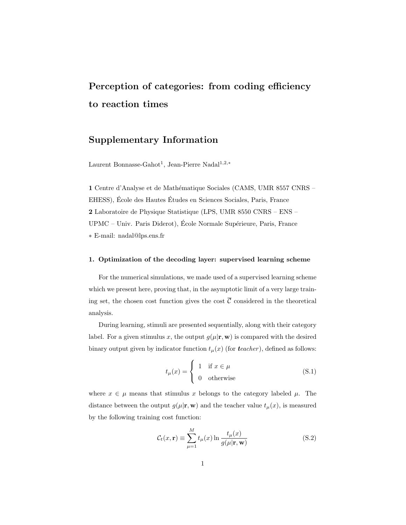# Perception of categories: from coding efficiency to reaction times

## Supplementary Information

Laurent Bonnasse-Gahot<sup>1</sup>, Jean-Pierre Nadal<sup>1,2,∗</sup>

1 Centre d'Analyse et de Mathématique Sociales (CAMS, UMR 8557 CNRS – EHESS), École des Hautes Études en Sciences Sociales, Paris, France 2 Laboratoire de Physique Statistique (LPS, UMR 8550 CNRS – ENS – UPMC – Univ. Paris Diderot), École Normale Supérieure, Paris, France ∗ E-mail: nadal@lps.ens.fr

### 1. Optimization of the decoding layer: supervised learning scheme

For the numerical simulations, we made used of a supervised learning scheme which we present here, proving that, in the asymptotic limit of a very large training set, the chosen cost function gives the cost  $\overline{C}$  considered in the theoretical analysis.

During learning, stimuli are presented sequentially, along with their category label. For a given stimulus x, the output  $g(\mu|\mathbf{r}, \mathbf{w})$  is compared with the desired binary output given by indicator function  $t_{\mu}(x)$  (for  $teacher$ ), defined as follows:

$$
t_{\mu}(x) = \begin{cases} 1 & \text{if } x \in \mu \\ 0 & \text{otherwise} \end{cases}
$$
 (S.1)

where  $x \in \mu$  means that stimulus x belongs to the category labeled  $\mu$ . The distance between the output  $g(\mu|\mathbf{r}, \mathbf{w})$  and the teacher value  $t_{\mu}(x)$ , is measured by the following training cost function:

$$
\mathcal{C}_t(x, \mathbf{r}) \equiv \sum_{\mu=1}^{M} t_{\mu}(x) \ln \frac{t_{\mu}(x)}{g(\mu | \mathbf{r}, \mathbf{w})}
$$
(S.2)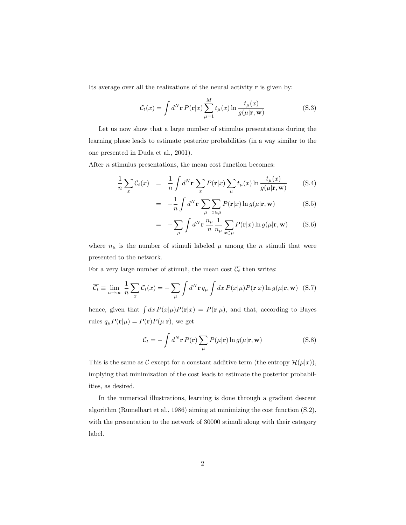Its average over all the realizations of the neural activity r is given by:

$$
\mathcal{C}_t(x) = \int d^N \mathbf{r} P(\mathbf{r}|x) \sum_{\mu=1}^M t_\mu(x) \ln \frac{t_\mu(x)}{g(\mu|\mathbf{r}, \mathbf{w})}
$$
(S.3)

Let us now show that a large number of stimulus presentations during the learning phase leads to estimate posterior probabilities (in a way similar to the one presented in Duda et al., 2001).

After *n* stimulus presentations, the mean cost function becomes:

$$
\frac{1}{n}\sum_{x} \mathcal{C}_t(x) = \frac{1}{n} \int d^N \mathbf{r} \sum_{x} P(\mathbf{r}|x) \sum_{\mu} t_{\mu}(x) \ln \frac{t_{\mu}(x)}{g(\mu|\mathbf{r}, \mathbf{w})}
$$
(S.4)

$$
= -\frac{1}{n} \int d^N \mathbf{r} \sum_{\mu} \sum_{x \in \mu} P(\mathbf{r}|x) \ln g(\mu|\mathbf{r}, \mathbf{w})
$$
 (S.5)

$$
= -\sum_{\mu} \int d^N \mathbf{r} \frac{n_{\mu}}{n} \frac{1}{n_{\mu}} \sum_{x \in \mu} P(\mathbf{r}|x) \ln g(\mu|\mathbf{r}, \mathbf{w}) \qquad (S.6)
$$

where  $n_{\mu}$  is the number of stimuli labeled  $\mu$  among the n stimuli that were presented to the network.

For a very large number of stimuli, the mean cost  $\overline{C_t}$  then writes:

$$
\overline{\mathcal{C}_t} \equiv \lim_{n \to \infty} \frac{1}{n} \sum_x \mathcal{C}_t(x) = -\sum_{\mu} \int d^N \mathbf{r} \, q_{\mu} \int dx \, P(x|\mu) P(\mathbf{r}|x) \ln g(\mu|\mathbf{r}, \mathbf{w}) \tag{S.7}
$$

hence, given that  $\int dx P(x|\mu)P(\mathbf{r}|x) = P(\mathbf{r}|\mu)$ , and that, according to Bayes rules  $q_{\mu}P(\mathbf{r}|\mu) = P(\mathbf{r})P(\mu|\mathbf{r})$ , we get

$$
\overline{\mathcal{C}_t} = -\int d^N \mathbf{r} \, P(\mathbf{r}) \sum_{\mu} P(\mu | \mathbf{r}) \ln g(\mu | \mathbf{r}, \mathbf{w}) \tag{S.8}
$$

This is the same as  $\overline{\mathcal{C}}$  except for a constant additive term (the entropy  $\mathcal{H}(\mu|x)$ ), implying that minimization of the cost leads to estimate the posterior probabilities, as desired.

In the numerical illustrations, learning is done through a gradient descent algorithm (Rumelhart et al., 1986) aiming at minimizing the cost function (S.2), with the presentation to the network of 30000 stimuli along with their category label.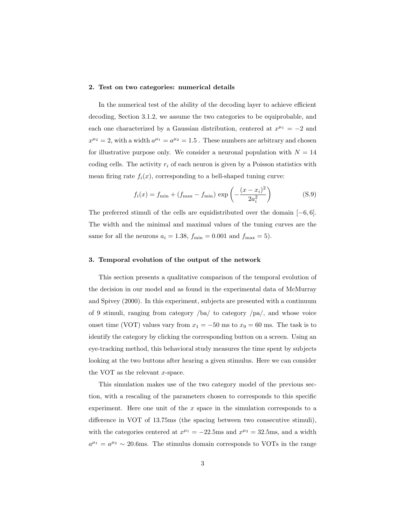#### 2. Test on two categories: numerical details

In the numerical test of the ability of the decoding layer to achieve efficient decoding, Section 3.1.2, we assume the two categories to be equiprobable, and each one characterized by a Gaussian distribution, centered at  $x^{\mu_1} = -2$  and  $x^{\mu_2} = 2$ , with a width  $a^{\mu_1} = a^{\mu_2} = 1.5$ . These numbers are arbitrary and chosen for illustrative purpose only. We consider a neuronal population with  $N = 14$ coding cells. The activity  $r_i$  of each neuron is given by a Poisson statistics with mean firing rate  $f_i(x)$ , corresponding to a bell-shaped tuning curve:

$$
f_i(x) = f_{\min} + (f_{\max} - f_{\min}) \exp\left(-\frac{(x - x_i)^2}{2a_i^2}\right)
$$
 (S.9)

The preferred stimuli of the cells are equidistributed over the domain  $[-6, 6]$ . The width and the minimal and maximal values of the tuning curves are the same for all the neurons  $a_i = 1.38$ ,  $f_{\min} = 0.001$  and  $f_{\max} = 5$ ).

#### 3. Temporal evolution of the output of the network

This section presents a qualitative comparison of the temporal evolution of the decision in our model and as found in the experimental data of McMurray and Spivey (2000). In this experiment, subjects are presented with a continuum of 9 stimuli, ranging from category /ba/ to category /pa/, and whose voice onset time (VOT) values vary from  $x_1 = -50$  ms to  $x_9 = 60$  ms. The task is to identify the category by clicking the corresponding button on a screen. Using an eye-tracking method, this behavioral study measures the time spent by subjects looking at the two buttons after hearing a given stimulus. Here we can consider the VOT as the relevant  $x$ -space.

This simulation makes use of the two category model of the previous section, with a rescaling of the parameters chosen to corresponds to this specific experiment. Here one unit of the  $x$  space in the simulation corresponds to a difference in VOT of 13.75ms (the spacing between two consecutive stimuli), with the categories centered at  $x^{\mu_1} = -22.5$ ms and  $x^{\mu_2} = 32.5$ ms, and a width  $a^{\mu_1} = a^{\mu_2} \sim 20.6$ ms. The stimulus domain corresponds to VOTs in the range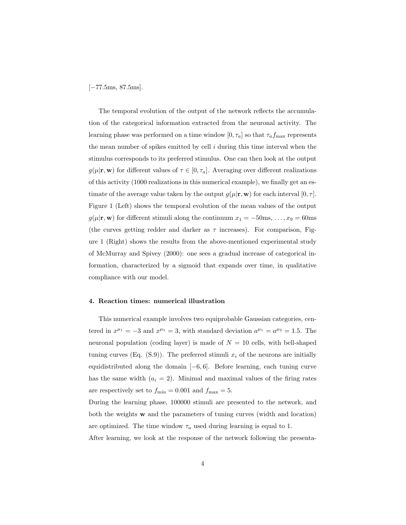[−77.5ms, 87.5ms].

The temporal evolution of the output of the network reflects the accumulation of the categorical information extracted from the neuronal activity. The learning phase was performed on a time window  $[0, \tau_a]$  so that  $\tau_a f_{\text{max}}$  represents the mean number of spikes emitted by cell i during this time interval when the stimulus corresponds to its preferred stimulus. One can then look at the output  $g(\mu|\mathbf{r}, \mathbf{w})$  for different values of  $\tau \in [0, \tau_a]$ . Averaging over different realizations of this activity (1000 realizations in this numerical example), we finally get an estimate of the average value taken by the output  $q(\mu|\mathbf{r}, \mathbf{w})$  for each interval  $[0, \tau]$ . Figure 1 (Left) shows the temporal evolution of the mean values of the output  $g(\mu|\mathbf{r}, \mathbf{w})$  for different stimuli along the continuum  $x_1 = -50$ ms, ...,  $x_9 = 60$ ms (the curves getting redder and darker as  $\tau$  increases). For comparison, Figure 1 (Right) shows the results from the above-mentioned experimental study of McMurray and Spivey (2000): one sees a gradual increase of categorical information, characterized by a sigmoid that expands over time, in qualitative compliance with our model.

#### 4. Reaction times: numerical illustration

This numerical example involves two equiprobable Gaussian categories, centered in  $x^{\mu_1} = -3$  and  $x^{\mu_1} = 3$ , with standard deviation  $a^{\mu_1} = a^{\mu_2} = 1.5$ . The neuronal population (coding layer) is made of  $N = 10$  cells, with bell-shaped tuning curves (Eq.  $(S.9)$ ). The preferred stimuli  $x_i$  of the neurons are initially equidistributed along the domain [−6, 6]. Before learning, each tuning curve has the same width  $(a_i = 2)$ . Minimal and maximal values of the firing rates are respectively set to  $f_{\text{min}} = 0.001$  and  $f_{\text{max}} = 5$ .

During the learning phase, 100000 stimuli are presented to the network, and both the weights w and the parameters of tuning curves (width and location) are optimized. The time window  $\tau_a$  used during learning is equal to 1.

After learning, we look at the response of the network following the presenta-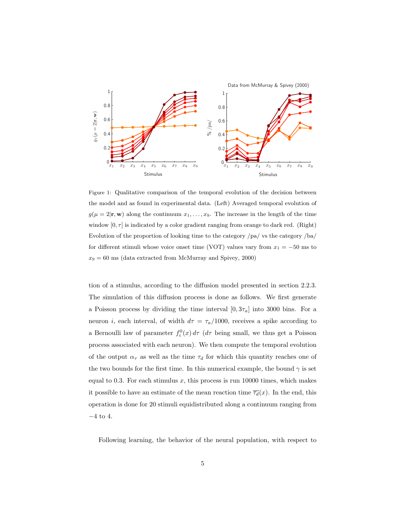

Figure 1: Qualitative comparison of the temporal evolution of the decision between the model and as found in experimental data. (Left) Averaged temporal evolution of  $g(\mu = 2|\mathbf{r}, \mathbf{w})$  along the continuum  $x_1, \ldots, x_9$ . The increase in the length of the time window  $[0, \tau]$  is indicated by a color gradient ranging from orange to dark red. (Right) Evolution of the proportion of looking time to the category /pa/ vs the category /ba/ for different stimuli whose voice onset time (VOT) values vary from  $x_1 = -50$  ms to  $x_9 = 60$  ms (data extracted from McMurray and Spivey, 2000)

tion of a stimulus, according to the diffusion model presented in section 2.2.3. The simulation of this diffusion process is done as follows. We first generate a Poisson process by dividing the time interval  $[0, 3\tau_a]$  into 3000 bins. For a neuron *i*, each interval, of width  $d\tau = \tau_a/1000$ , receives a spike according to a Bernoulli law of parameter  $f_i^0(x) d\tau$  ( $d\tau$  being small, we thus get a Poisson process associated with each neuron). We then compute the temporal evolution of the output  $\alpha_{\tau}$  as well as the time  $\tau_d$  for which this quantity reaches one of the two bounds for the first time. In this numerical example, the bound  $\gamma$  is set equal to 0.3. For each stimulus x, this process is run 10000 times, which makes it possible to have an estimate of the mean reaction time  $\overline{\tau_d}(x)$ . In the end, this operation is done for 20 stimuli equidistributed along a continuum ranging from −4 to 4.

Following learning, the behavior of the neural population, with respect to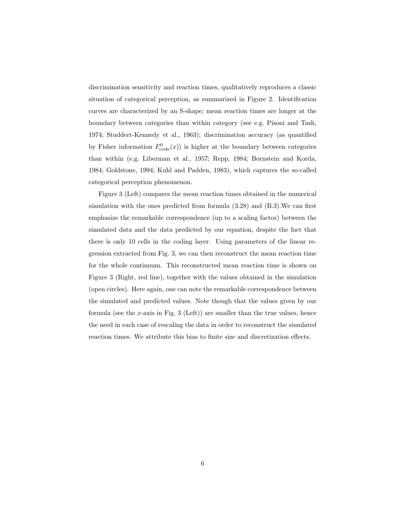discrimination sensitivity and reaction times, qualitatively reproduces a classic situation of categorical perception, as summarized in Figure 2. Identification curves are characterized by an S-shape; mean reaction times are longer at the boundary between categories than within category (see e.g. Pisoni and Tash, 1974; Studdert-Kennedy et al., 1963); discrimination accuracy (as quantified by Fisher information  $F_{\text{code}}^0(x)$  is higher at the boundary between categories than within (e.g. Liberman et al., 1957; Repp, 1984; Bornstein and Korda, 1984; Goldstone, 1994; Kuhl and Padden, 1983), which captures the so-called categorical perception phenomenon.

Figure 3 (Left) compares the mean reaction times obtained in the numerical simulation with the ones predicted from formula (3.28) and (B.3).We can first emphasize the remarkable correspondence (up to a scaling factor) between the simulated data and the data predicted by our equation, despite the fact that there is only 10 cells in the coding layer. Using parameters of the linear regression extracted from Fig. 3, we can then reconstruct the mean reaction time for the whole continuum. This reconstructed mean reaction time is shown on Figure 3 (Right, red line), together with the values obtained in the simulation (open circles). Here again, one can note the remarkable correspondence between the simulated and predicted values. Note though that the values given by our formula (see the x-axis in Fig. 3 (Left)) are smaller than the true values, hence the need in each case of rescaling the data in order to reconstruct the simulated reaction times. We attribute this bias to finite size and discretization effects.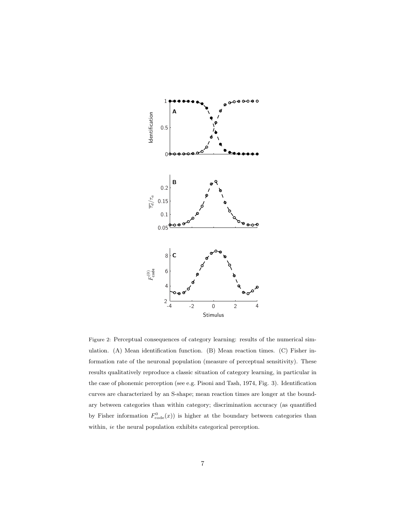

Figure 2: Perceptual consequences of category learning: results of the numerical simulation. (A) Mean identification function. (B) Mean reaction times. (C) Fisher information rate of the neuronal population (measure of perceptual sensitivity). These results qualitatively reproduce a classic situation of category learning, in particular in the case of phonemic perception (see e.g. Pisoni and Tash, 1974, Fig. 3). Identification curves are characterized by an S-shape; mean reaction times are longer at the boundary between categories than within category; discrimination accuracy (as quantified by Fisher information  $F_{\text{code}}^{0}(x)$  is higher at the boundary between categories than within, ie the neural population exhibits categorical perception.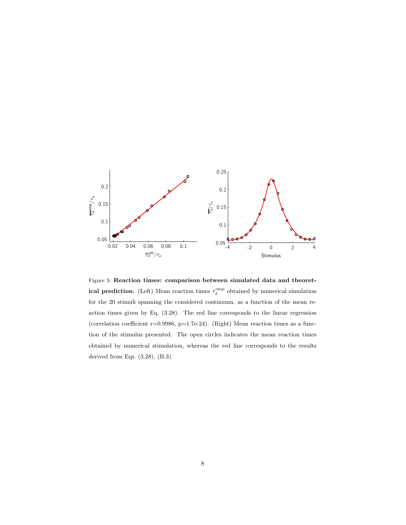

Figure 3: Reaction times: comparison between simulated data and theoretical prediction. (Left) Mean reaction times  $\tau_d^{\text{emp}}$  obtained by numerical simulation for the 20 stimuli spanning the considered continuum, as a function of the mean reaction times given by Eq. (3.28). The red line corresponds to the linear regression (correlation coefficient  $r=0.9986$ ,  $p=1.7e-24$ ). (Right) Mean reaction times as a function of the stimulus presented. The open circles indicates the mean reaction times obtained by numerical stimulation, whereas the red line corresponds to the results derived from Eqs. (3.28), (B.3).